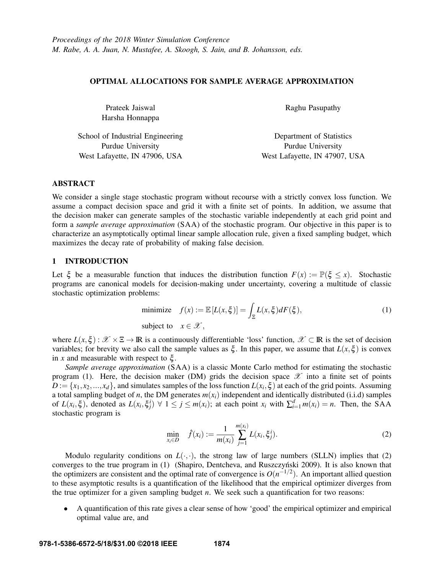### OPTIMAL ALLOCATIONS FOR SAMPLE AVERAGE APPROXIMATION

| Prateek Jaiswal                  | Raghu Pasupathy               |  |
|----------------------------------|-------------------------------|--|
| Harsha Honnappa                  |                               |  |
| School of Industrial Engineering | Department of Statistics      |  |
| <b>Purdue University</b>         | Purdue University             |  |
| West Lafayette, IN 47906, USA    | West Lafayette, IN 47907, USA |  |

## ABSTRACT

We consider a single stage stochastic program without recourse with a strictly convex loss function. We assume a compact decision space and grid it with a finite set of points. In addition, we assume that the decision maker can generate samples of the stochastic variable independently at each grid point and form a *sample average approximation* (SAA) of the stochastic program. Our objective in this paper is to characterize an asymptotically optimal linear sample allocation rule, given a fixed sampling budget, which maximizes the decay rate of probability of making false decision.

### 1 INTRODUCTION

Let  $\xi$  be a measurable function that induces the distribution function  $F(x) := \mathbb{P}(\xi \le x)$ . Stochastic programs are canonical models for decision-making under uncertainty, covering a multitude of classic stochastic optimization problems:

minimize 
$$
f(x) := \mathbb{E}[L(x,\xi)] = \int_{\Xi} L(x,\xi) dF(\xi),
$$
  
subject to  $x \in \mathcal{X},$  (1)

where  $L(x,\xi): \mathscr{X} \times \Xi \to \mathbb{R}$  is a continuously differentiable 'loss' function,  $\mathscr{X} \subset \mathbb{R}$  is the set of decision variables; for brevity we also call the sample values as  $\xi$ . In this paper, we assume that  $L(x, \xi)$  is convex in *x* and measurable with respect to ξ.

*Sample average approximation* (SAA) is a classic Monte Carlo method for estimating the stochastic program (1). Here, the decision maker (DM) grids the decision space  $\mathscr X$  into a finite set of points  $D := \{x_1, x_2, ..., x_d\}$ , and simulates samples of the loss function  $L(x_i, \xi)$  at each of the grid points. Assuming a total sampling budget of *n*, the DM generates  $m(x_i)$  independent and identically distributed (i.i.d) samples of  $L(x_i, \xi)$ , denoted as  $L(x_i, \xi_i^i) \forall 1 \leq j \leq m(x_i)$ ; at each point  $x_i$  with  $\sum_{i=1}^d m(x_i) = n$ . Then, the SAA stochastic program is

$$
\min_{x_i \in D} \quad \hat{f}(x_i) := \frac{1}{m(x_i)} \sum_{j=1}^{m(x_i)} L(x_i, \xi_j^i).
$$
 (2)

Modulo regularity conditions on  $L(\cdot, \cdot)$ , the strong law of large numbers (SLLN) implies that (2) converges to the true program in (1) (Shapiro, Dentcheva, and Ruszczyński 2009). It is also known that the optimizers are consistent and the optimal rate of convergence is  $O(n^{-1/2})$ . An important allied question to these asymptotic results is a quantification of the likelihood that the empirical optimizer diverges from the true optimizer for a given sampling budget *n*. We seek such a quantification for two reasons:

• A quantification of this rate gives a clear sense of how 'good' the empirical optimizer and empirical optimal value are, and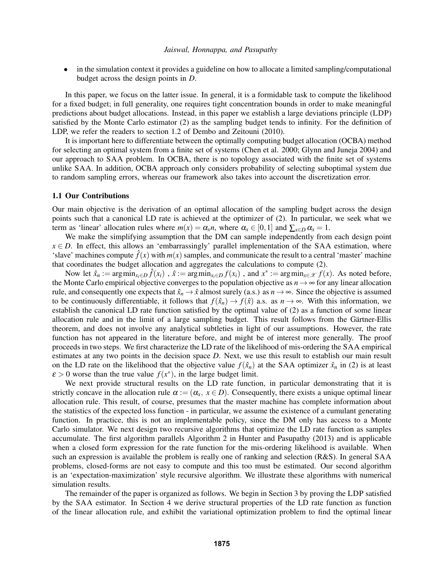• in the simulation context it provides a guideline on how to allocate a limited sampling/computational budget across the design points in *D*.

In this paper, we focus on the latter issue. In general, it is a formidable task to compute the likelihood for a fixed budget; in full generality, one requires tight concentration bounds in order to make meaningful predictions about budget allocations. Instead, in this paper we establish a large deviations principle (LDP) satisfied by the Monte Carlo estimator (2) as the sampling budget tends to infinity. For the definition of LDP, we refer the readers to section 1.2 of Dembo and Zeitouni (2010).

It is important here to differentiate between the optimally computing budget allocation (OCBA) method for selecting an optimal system from a finite set of systems (Chen et al. 2000; Glynn and Juneja 2004) and our approach to SAA problem. In OCBA, there is no topology associated with the finite set of systems unlike SAA. In addition, OCBA approach only considers probability of selecting suboptimal system due to random sampling errors, whereas our framework also takes into account the discretization error.

### 1.1 Our Contributions

Our main objective is the derivation of an optimal allocation of the sampling budget across the design points such that a canonical LD rate is achieved at the optimizer of (2). In particular, we seek what we term as 'linear' allocation rules where  $m(x) = \alpha_x n$ , where  $\alpha_x \in [0,1]$  and  $\sum_{x \in D} \alpha_x = 1$ .

We make the simplifying assumption that the DM can sample independently from each design point  $x \in D$ . In effect, this allows an 'embarrassingly' parallel implementation of the SAA estimation, where 'slave' machines compute  $\hat{f}(x)$  with  $m(x)$  samples, and communicate the result to a central 'master' machine that coordinates the budget allocation and aggregates the calculations to compute (2).

Now let  $\hat{x}_n := \arg\min_{x_i \in D} \hat{f}(x_i)$ ,  $\hat{x} := \arg\min_{x_i \in D} f(x_i)$ , and  $x^* := \arg\min_{x \in \mathcal{X}} f(x)$ . As noted before, the Monte Carlo empirical objective converges to the population objective as  $n \to \infty$  for any linear allocation rule, and consequently one expects that  $\hat{x}_n \to \hat{x}$  almost surely (a.s.) as  $n \to \infty$ . Since the objective is assumed to be continuously differentiable, it follows that  $f(\hat{x}_n) \to f(\hat{x})$  a.s. as  $n \to \infty$ . With this information, we establish the canonical LD rate function satisfied by the optimal value of (2) as a function of some linear allocation rule and in the limit of a large sampling budget. This result follows from the Gärtner-Ellis theorem, and does not involve any analytical subtleties in light of our assumptions. However, the rate function has not appeared in the literature before, and might be of interest more generally. The proof proceeds in two steps. We first characterize the LD rate of the likelihood of mis-ordering the SAA empirical estimates at any two points in the decision space *D*. Next, we use this result to establish our main result on the LD rate on the likelihood that the objective value  $f(\hat{x}_n)$  at the SAA optimizer  $\hat{x}_n$  in (2) is at least  $\varepsilon > 0$  worse than the true value  $f(x^*)$ , in the large budget limit.

We next provide structural results on the LD rate function, in particular demonstrating that it is strictly concave in the allocation rule  $\alpha := (\alpha_x, x \in D)$ . Consequently, there exists a unique optimal linear allocation rule. This result, of course, presumes that the master machine has complete information about the statistics of the expected loss function - in particular, we assume the existence of a cumulant generating function. In practice, this is not an implementable policy, since the DM only has access to a Monte Carlo simulator. We next design two recursive algorithms that optimize the LD rate function as samples accumulate. The first algorithm parallels Algorithm 2 in Hunter and Pasupathy (2013) and is applicable when a closed form expression for the rate function for the mis-ordering likelihood is available. When such an expression is available the problem is really one of ranking and selection (R&S). In general SAA problems, closed-forms are not easy to compute and this too must be estimated. Our second algorithm is an 'expectation-maximization' style recursive algorithm. We illustrate these algorithms with numerical simulation results.

The remainder of the paper is organized as follows. We begin in Section 3 by proving the LDP satisfied by the SAA estimator. In Section 4 we derive structural properties of the LD rate function as function of the linear allocation rule, and exhibit the variational optimization problem to find the optimal linear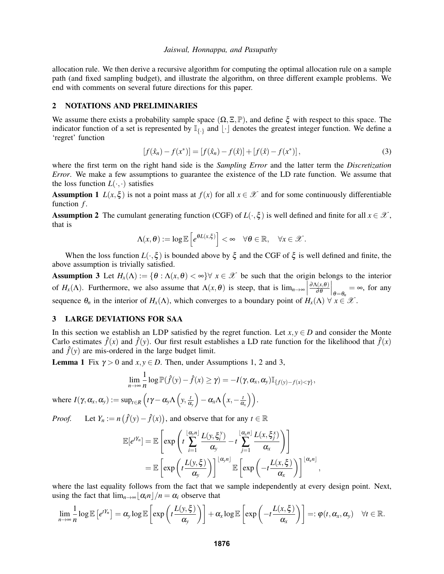allocation rule. We then derive a recursive algorithm for computing the optimal allocation rule on a sample path (and fixed sampling budget), and illustrate the algorithm, on three different example problems. We end with comments on several future directions for this paper.

## 2 NOTATIONS AND PRELIMINARIES

We assume there exists a probability sample space  $(\Omega, \Xi, \mathbb{P})$ , and define  $\xi$  with respect to this space. The indicator function of a set is represented by  $\mathbb{I}_{\{.\}}$  and  $|\cdot|$  denotes the greatest integer function. We define a 'regret' function

$$
[f(\hat{x}_n) - f(x^*)] = [f(\hat{x}_n) - f(\hat{x})] + [f(\hat{x}) - f(x^*)],
$$
\n(3)

where the first term on the right hand side is the *Sampling Error* and the latter term the *Discretization Error*. We make a few assumptions to guarantee the existence of the LD rate function. We assume that the loss function  $L(\cdot, \cdot)$  satisfies

**Assumption 1** *L*(*x*,  $\xi$ ) is not a point mass at  $f(x)$  for all  $x \in \mathcal{X}$  and for some continuously differentiable function *f*.

**Assumption 2** The cumulant generating function (CGF) of  $L(\cdot,\xi)$  is well defined and finite for all  $x \in \mathcal{X}$ , that is

$$
\Lambda(x,\theta):=\log\mathbb{E}\left[e^{\theta L(x,\xi)}\right]<\infty\quad\forall\theta\in\mathbb{R},\quad\forall x\in\mathscr{X}.
$$

When the loss function  $L(\cdot,\xi)$  is bounded above by  $\xi$  and the CGF of  $\xi$  is well defined and finite, the above assumption is trivially satisfied.

Assumption 3 Let  $H_x(\Lambda) := \{ \theta : \Lambda(x, \theta) < \infty \}$   $\forall x \in \mathcal{X}$  be such that the origin belongs to the interior of *H<sub>x</sub>*( $\Lambda$ ). Furthermore, we also assume that  $\Lambda(x, \theta)$  is steep, that is  $\lim_{n \to \infty}$ ∂Λ(*x*,θ)  $\partial \theta$  $\Big|_{\theta=\theta_n} = \infty$ , for any sequence  $\theta_n$  in the interior of  $H_x(\Lambda)$ , which converges to a boundary point of  $H_x(\Lambda) \ \forall \ x \in \mathcal{X}$ .

## 3 LARGE DEVIATIONS FOR SAA

In this section we establish an LDP satisfied by the regret function. Let  $x, y \in D$  and consider the Monte Carlo estimates  $\hat{f}(x)$  and  $\hat{f}(y)$ . Our first result establishes a LD rate function for the likelihood that  $\hat{f}(x)$ and  $\hat{f}(y)$  are mis-ordered in the large budget limit.

**Lemma 1** Fix  $\gamma > 0$  and  $x, y \in D$ . Then, under Assumptions 1, 2 and 3,

$$
\lim_{n\to\infty}\frac{1}{n}\log\mathbb{P}(\hat{f}(y)-\hat{f}(x)\geq\gamma)=-I(\gamma,\alpha_x,\alpha_y)\mathbb{I}_{\{f(y)-f(x)<\gamma\}},
$$

where  $I(\gamma,\alpha_{x},\alpha_{y}) := \sup_{t \in R} \left( t\gamma - \alpha_{y}\Lambda\left(y,\frac{t}{\alpha}\right) \right)$ α*y*  $\int -\alpha_x \Lambda\left(x, -\frac{t}{\alpha}\right)$  $\frac{t}{\alpha_{\rm x}}\bigg)\bigg).$ 

*Proof.* Let  $Y_n := n(\hat{f}(y) - \hat{f}(x))$ , and observe that for any  $t \in \mathbb{R}$ 

$$
\mathbb{E}[e^{tY_n}] = \mathbb{E}\left[\exp\left(t\sum_{i=1}^{\lfloor \alpha_y n \rfloor} \frac{L(y,\xi_i^y)}{\alpha_y} - t\sum_{j=1}^{\lfloor \alpha_x n \rfloor} \frac{L(x,\xi_i^x)}{\alpha_x}\right)\right]
$$

$$
= \mathbb{E}\left[\exp\left(t\frac{L(y,\xi)}{\alpha_y}\right)\right]^{\lfloor \alpha_y n \rfloor} \mathbb{E}\left[\exp\left(-t\frac{L(x,\xi)}{\alpha_x}\right)\right]^{\lfloor \alpha_x n \rfloor}
$$

,

where the last equality follows from the fact that we sample independently at every design point. Next, using the fact that  $\lim_{n\to\infty} |\alpha_i n|/n = \alpha_i$  observe that

$$
\lim_{n\to\infty}\frac{1}{n}\log\mathbb{E}\left[e^{tY_n}\right]=\alpha_{y}\log\mathbb{E}\left[\exp\left(t\frac{L(y,\xi)}{\alpha_{y}}\right)\right]+\alpha_{x}\log\mathbb{E}\left[\exp\left(-t\frac{L(x,\xi)}{\alpha_{x}}\right)\right]=:\varphi(t,\alpha_{x},\alpha_{y})\quad\forall t\in\mathbb{R}.
$$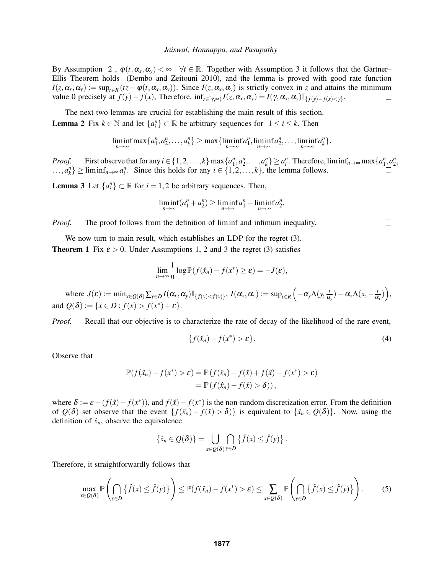By Assumption 2,  $\varphi(t, \alpha_x, \alpha_y) < \infty$   $\forall t \in \mathbb{R}$ . Together with Assumption 3 it follows that the Gärtner– Ellis Theorem holds (Dembo and Zeitouni 2010), and the lemma is proved with good rate function  $I(z, \alpha_x, \alpha_y) := \sup_{t \in R} (tz - \varphi(t, \alpha_x, \alpha_y))$ . Since  $I(z, \alpha_x, \alpha_y)$  is strictly convex in *z* and attains the minimum value 0 precisely at  $f(y) - f(x)$ , Therefore,  $\inf_{z \in [\gamma, \infty)} I(z, \alpha_x, \alpha_y) = I(\gamma, \alpha_x, \alpha_y) \mathbb{I}_{\{f(y) - f(x) < \gamma\}}$ .  $\Box$ 

The next two lemmas are crucial for establishing the main result of this section. **Lemma 2** Fix  $k \in \mathbb{N}$  and let  $\{a_i^n\} \subset \mathbb{R}$  be arbitrary sequences for  $1 \le i \le k$ . Then

$$
\liminf_{n\to\infty} \max\{a_1^n,a_2^n,\ldots,a_k^n\} \ge \max\{\liminf_{n\to\infty}a_1^n,\liminf_{n\to\infty}a_2^n,\ldots,\liminf_{n\to\infty}a_k^n\}.
$$

*Proof.* First observe that for any  $i \in \{1, 2, ..., k\}$  max  $\{a_1^n, a_2^n, ..., a_k^n\} \ge a_i^n$ . Therefore,  $\liminf_{n \to \infty} \max\{a_1^n, a_2^n, ..., a_k^n\}$ ...,*a*<sup>*n*</sup></sup> $\}$  ≥ liminf<sub>*n*→∞ *a*<sup>*n*</sup></sub>. Since this holds for any *i* ∈ {1,2,...,*k*}, the lemma follows.

**Lemma 3** Let  $\{a_i^n\} \subset \mathbb{R}$  for  $i = 1, 2$  be arbitrary sequences. Then,

$$
\liminf_{n\to\infty}(a_1^n+a_2^n)\geq \liminf_{n\to\infty}a_1^n+\liminf_{n\to\infty}a_2^n.
$$

*Proof.* The proof follows from the definition of liminf and infimum inequality.

We now turn to main result, which establishes an LDP for the regret  $(3)$ . **Theorem 1** Fix  $\varepsilon > 0$ . Under Assumptions 1, 2 and 3 the regret (3) satisfies

$$
\lim_{n\to\infty}\frac{1}{n}\log\mathbb{P}(f(\hat{x}_n)-f(x^*)\geq \varepsilon)=-J(\varepsilon),
$$

 $\text{where } J(\varepsilon) := \min_{x \in Q(\delta)} \sum_{y \in D} I(\alpha_x, \alpha_y) \mathbb{I}_{\{f(y) < f(x)\}}, \ I(\alpha_x, \alpha_y) := \sup_{t \in R} \left( -\alpha_y \Lambda(y, \frac{t}{\alpha_y}) \right)$  $(\frac{t}{\alpha_y})-\alpha_x\Lambda(x,-\frac{t}{\alpha_y})$  $\frac{t}{\alpha_x})\bigg),$ and  $Q(\delta) := \{x \in D : f(x) > f(x^*) + \varepsilon\}.$ 

*Proof.* Recall that our objective is to characterize the rate of decay of the likelihood of the rare event,

$$
\{f(\hat{x}_n) - f(x^*) > \varepsilon\}.
$$
\n(4)

Observe that

$$
\mathbb{P}(f(\hat{x}_n) - f(x^*) > \varepsilon) = \mathbb{P}(f(\hat{x}_n) - f(\hat{x}) + f(\hat{x}) - f(x^*) > \varepsilon)
$$
  
= 
$$
\mathbb{P}(f(\hat{x}_n) - f(\hat{x}) > \delta)),
$$

where  $\delta := \varepsilon - (f(\hat{x}) - f(x^*))$ , and  $f(\hat{x}) - f(x^*)$  is the non-random discretization error. From the definition of  $Q(\delta)$  set observe that the event  $\{f(\hat{x}_n) - f(\hat{x}) > \delta\}$  is equivalent to  $\{\hat{x}_n \in Q(\delta)\}\)$ . Now, using the definition of  $\hat{x}_n$ , observe the equivalence

$$
\{\hat{x}_n \in Q(\delta)\} = \bigcup_{x \in Q(\delta)} \bigcap_{y \in D} \{\hat{f}(x) \leq \hat{f}(y)\}.
$$

Therefore, it straightforwardly follows that

$$
\max_{x \in Q(\delta)} \mathbb{P}\left(\bigcap_{y \in D} \left\{\hat{f}(x) \leq \hat{f}(y)\right\}\right) \leq \mathbb{P}(f(\hat{x}_n) - f(x^*) > \varepsilon) \leq \sum_{x \in Q(\delta)} \mathbb{P}\left(\bigcap_{y \in D} \left\{\hat{f}(x) \leq \hat{f}(y)\right\}\right).
$$
 (5)

 $\Box$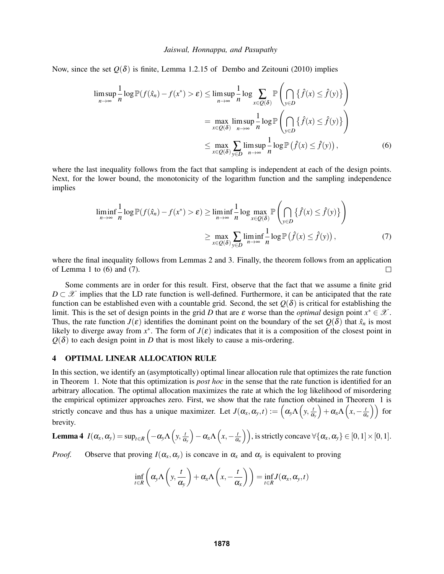Now, since the set  $Q(\delta)$  is finite, Lemma 1.2.15 of Dembo and Zeitouni (2010) implies

$$
\limsup_{n \to \infty} \frac{1}{n} \log \mathbb{P}(f(\hat{x}_n) - f(x^*) > \varepsilon) \le \limsup_{n \to \infty} \frac{1}{n} \log \sum_{x \in Q(\delta)} \mathbb{P}\left(\bigcap_{y \in D} \{\hat{f}(x) \le \hat{f}(y)\}\right)
$$

$$
= \max_{x \in Q(\delta)} \limsup_{n \to \infty} \frac{1}{n} \log \mathbb{P}\left(\bigcap_{y \in D} \{\hat{f}(x) \le \hat{f}(y)\}\right)
$$

$$
\le \max_{x \in Q(\delta)} \sum_{y \in D} \limsup_{n \to \infty} \frac{1}{n} \log \mathbb{P}\left(\hat{f}(x) \le \hat{f}(y)\right), \tag{6}
$$

where the last inequality follows from the fact that sampling is independent at each of the design points. Next, for the lower bound, the monotonicity of the logarithm function and the sampling independence implies

$$
\liminf_{n \to \infty} \frac{1}{n} \log \mathbb{P}(f(\hat{x}_n) - f(x^*) > \varepsilon) \ge \liminf_{n \to \infty} \frac{1}{n} \log \max_{x \in Q(\delta)} \mathbb{P}\left(\bigcap_{y \in D} \{\hat{f}(x) \le \hat{f}(y)\}\right)
$$

$$
\ge \max_{x \in Q(\delta)} \sum_{y \in D} \liminf_{n \to \infty} \frac{1}{n} \log \mathbb{P}\left(\hat{f}(x) \le \hat{f}(y)\right),\tag{7}
$$

where the final inequality follows from Lemmas 2 and 3. Finally, the theorem follows from an application of Lemma 1 to  $(6)$  and  $(7)$ .  $\Box$ 

Some comments are in order for this result. First, observe that the fact that we assume a finite grid  $D \subset \mathcal{X}$  implies that the LD rate function is well-defined. Furthermore, it can be anticipated that the rate function can be established even with a countable grid. Second, the set  $O(\delta)$  is critical for establishing the limit. This is the set of design points in the grid *D* that are  $\varepsilon$  worse than the *optimal* design point  $x^* \in \mathcal{X}$ . Thus, the rate function  $J(\varepsilon)$  identifies the dominant point on the boundary of the set  $Q(\delta)$  that  $\hat{x}_n$  is most likely to diverge away from  $x^*$ . The form of  $J(\varepsilon)$  indicates that it is a composition of the closest point in  $Q(\delta)$  to each design point in *D* that is most likely to cause a mis-ordering.

## 4 OPTIMAL LINEAR ALLOCATION RULE

In this section, we identify an (asymptotically) optimal linear allocation rule that optimizes the rate function in Theorem 1. Note that this optimization is *post hoc* in the sense that the rate function is identified for an arbitrary allocation. The optimal allocation maximizes the rate at which the log likelihood of misordering the empirical optimizer approaches zero. First, we show that the rate function obtained in Theorem 1 is strictly concave and thus has a unique maximizer. Let  $J(\alpha_x, \alpha_y, t) := \left(\alpha_y \Lambda\right(y, \frac{t}{\alpha_y})$ α*y*  $\int +\alpha_x\Lambda\left(x,-\frac{t}{\alpha}\right)$  $\frac{t}{\alpha_x}$ ) for brevity.

**Lemma 4** 
$$
I(\alpha_x, \alpha_y) = \sup_{t \in R} \left( -\alpha_y \Lambda \left( y, \frac{t}{\alpha_y} \right) - \alpha_x \Lambda \left( x, -\frac{t}{\alpha_x} \right) \right)
$$
, is strictly concave  $\forall \{ \alpha_x, \alpha_y \} \in [0, 1] \times [0, 1]$ .

*Proof.* Observe that proving  $I(\alpha_x, \alpha_y)$  is concave in  $\alpha_x$  and  $\alpha_y$  is equivalent to proving

$$
\inf_{t\in R}\left(\alpha_{y}\Lambda\left(y,\frac{t}{\alpha_{y}}\right)+\alpha_{x}\Lambda\left(x,-\frac{t}{\alpha_{x}}\right)\right)=\inf_{t\in R}J(\alpha_{x},\alpha_{y},t)
$$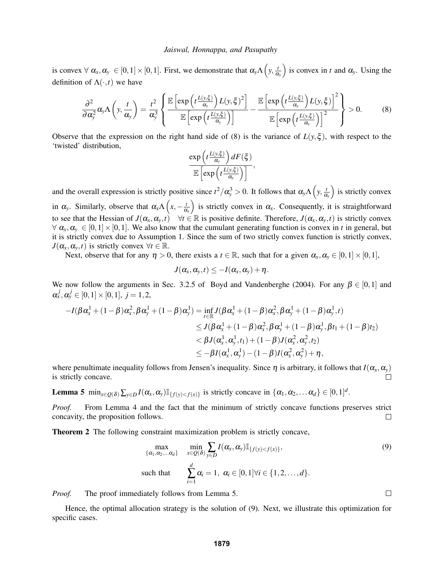is convex  $\forall \alpha_x, \alpha_y \in [0,1] \times [0,1]$ . First, we demonstrate that  $\alpha_y \Lambda \left( y, \frac{t}{\alpha} \right)$ α*y* ) is convex in *t* and  $\alpha_{y}$ . Using the definition of  $\Lambda(\cdot,t)$  we have

$$
\frac{\partial^2}{\partial \alpha_y^2} \alpha_y \Lambda \left( y, \frac{t}{\alpha_y} \right) = \frac{t^2}{\alpha_y^3} \left\{ \frac{\mathbb{E} \left[ \exp \left( t \frac{L(y, \xi)}{\alpha_y} \right) L(y, \xi)^2 \right]}{\mathbb{E} \left[ \exp \left( t \frac{L(y, \xi)}{\alpha_y} \right) \right]} - \frac{\mathbb{E} \left[ \exp \left( t \frac{L(y, \xi)}{\alpha_y} \right) L(y, \xi) \right]^2}{\mathbb{E} \left[ \exp \left( t \frac{L(y, \xi)}{\alpha_y} \right) \right]^2} \right\} > 0. \tag{8}
$$

Observe that the expression on the right hand side of (8) is the variance of  $L(y,\xi)$ , with respect to the 'twisted' distribution,

$$
\frac{\exp\left(t\frac{L(y,\xi)}{\alpha_y}\right)dF(\xi)}{\mathbb{E}\left[\exp\left(t\frac{L(y,\xi)}{\alpha_y}\right)\right]},
$$

and the overall expression is strictly positive since  $t^2/\alpha_y^3 > 0$ . It follows that  $\alpha_y \Lambda(y, \frac{t}{\alpha})$ α*y* ) is strictly convex in  $\alpha_{y}$ . Similarly, observe that  $\alpha_{x} \Lambda \left(x, -\frac{t}{\alpha}\right)$ α*x* ) is strictly convex in  $\alpha_x$ . Consequently, it is straightforward to see that the Hessian of  $J(\alpha_x, \alpha_y, t)$   $\forall t \in \mathbb{R}$  is positive definite. Therefore,  $J(\alpha_x, \alpha_y, t)$  is strictly convex  $\forall \alpha_x, \alpha_y \in [0,1] \times [0,1]$ . We also know that the cumulant generating function is convex in *t* in general, but it is strictly convex due to Assumption 1. Since the sum of two strictly convex function is strictly convex,  $J(\alpha_x, \alpha_y, t)$  is strictly convex  $\forall t \in \mathbb{R}$ .

Next, observe that for any  $\eta > 0$ , there exists a  $t \in \mathbb{R}$ , such that for a given  $\alpha_x, \alpha_y \in [0,1] \times [0,1]$ ,

$$
J(\alpha_{x},\alpha_{y},t)\leq -I(\alpha_{x},\alpha_{y})+\eta.
$$

We now follow the arguments in Sec. 3.2.5 of Boyd and Vandenberghe (2004). For any  $\beta \in [0,1]$  and  $\alpha^{j}_{x}, \alpha^{j}_{y} \in [0,1] \times [0,1], j = 1,2,$ 

$$
-I(\beta \alpha_x^1 + (1-\beta)\alpha_x^2, \beta \alpha_y^1 + (1-\beta)\alpha_y^1) = \inf_{t \in \mathbb{R}} J(\beta \alpha_x^1 + (1-\beta)\alpha_x^2, \beta \alpha_y^1 + (1-\beta)\alpha_y^1, t)
$$
  
\n
$$
\leq J(\beta \alpha_x^1 + (1-\beta)\alpha_x^2, \beta \alpha_y^1 + (1-\beta)\alpha_y^1, \beta t_1 + (1-\beta)t_2)
$$
  
\n
$$
< \beta J(\alpha_x^1, \alpha_y^1, t_1) + (1-\beta)J(\alpha_x^2, \alpha_y^2, t_2)
$$
  
\n
$$
\leq -\beta I(\alpha_x^1, \alpha_y^1) - (1-\beta)I(\alpha_x^2, \alpha_y^2) + \eta,
$$

where penultimate inequality follows from Jensen's inequality. Since  $\eta$  is arbitrary, it follows that  $I(\alpha_x, \alpha_y)$ is strictly concave.

**Lemma 5** min<sub> $x \in Q(\delta)$ </sub>  $\sum_{y \in D} I(\alpha_x, \alpha_y) \mathbb{I}_{\{f(y) < f(x)\}}$  is strictly concave in  $\{\alpha_1, \alpha_2, \dots \alpha_d\} \in [0, 1]^d$ .

*Proof.* From Lemma 4 and the fact that the minimum of strictly concave functions preserves strict concavity, the proposition follows.  $\Box$ 

**Theorem 2** The following constraint maximization problem is strictly concave,

$$
\max_{\{\alpha_1,\alpha_2,\dots,\alpha_d\}} \min_{x \in \mathcal{Q}(\delta)} \sum_{y \in D} I(\alpha_x,\alpha_y) \mathbb{I}_{\{f(y) < f(x)\}},
$$
\nsuch that

\n
$$
\sum_{i=1}^d \alpha_i = 1, \ \alpha_i \in [0,1] \forall i \in \{1,2,\dots,d\}.
$$

*Proof.* The proof immediately follows from Lemma 5.

Hence, the optimal allocation strategy is the solution of (9). Next, we illustrate this optimization for specific cases.

 $\Box$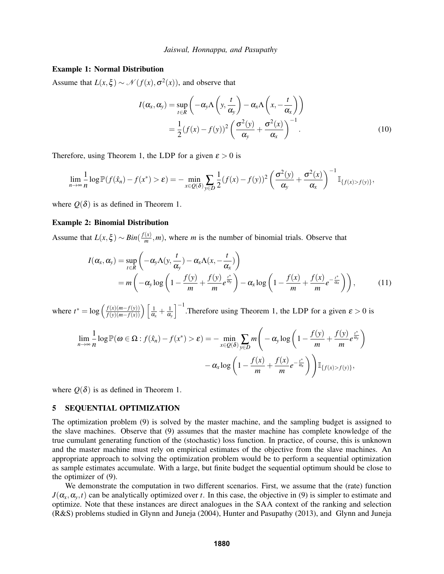### Example 1: Normal Distribution

Assume that  $L(x,\xi) \sim \mathcal{N}(f(x),\sigma^2(x))$ , and observe that

$$
I(\alpha_x, \alpha_y) = \sup_{t \in R} \left( -\alpha_y \Lambda \left( y, \frac{t}{\alpha_y} \right) - \alpha_x \Lambda \left( x, -\frac{t}{\alpha_x} \right) \right)
$$
  
= 
$$
\frac{1}{2} (f(x) - f(y))^2 \left( \frac{\sigma^2(y)}{\alpha_y} + \frac{\sigma^2(x)}{\alpha_x} \right)^{-1}.
$$
 (10)

Therefore, using Theorem 1, the LDP for a given  $\varepsilon > 0$  is

$$
\lim_{n\to\infty}\frac{1}{n}\log\mathbb{P}(f(\hat{x}_n)-f(x^*)>\varepsilon)=-\min_{x\in Q(\delta)}\sum_{y\in D}\frac{1}{2}(f(x)-f(y))^2\left(\frac{\sigma^2(y)}{\alpha_y}+\frac{\sigma^2(x)}{\alpha_x}\right)^{-1}\mathbb{I}_{\{f(x)>f(y)\}},
$$

where  $O(\delta)$  is as defined in Theorem 1.

### Example 2: Binomial Distribution

Assume that  $L(x,\xi) \sim Bin(\frac{f(x)}{m})$  $\frac{f(x)}{m}$ , *m*), where *m* is the number of binomial trials. Observe that

$$
I(\alpha_x, \alpha_y) = \sup_{t \in R} \left( -\alpha_y \Lambda(y, \frac{t}{\alpha_y}) - \alpha_x \Lambda(x, -\frac{t}{\alpha_x}) \right)
$$
  
=  $m \left( -\alpha_y \log \left( 1 - \frac{f(y)}{m} + \frac{f(y)}{m} e^{\frac{t^*}{\alpha_y}} \right) - \alpha_x \log \left( 1 - \frac{f(x)}{m} + \frac{f(x)}{m} e^{-\frac{t^*}{\alpha_x}} \right) \right),$  (11)

where  $t^* = \log \left( \frac{f(x)(m-f(y))}{f(y)(m-f(x))} \right) \left[ \frac{1}{\alpha_x} + \frac{1}{\alpha_y} \right]$ α*y*  $\int^{-1}$ .Therefore using Theorem 1, the LDP for a given  $\varepsilon > 0$  is

$$
\lim_{n \to \infty} \frac{1}{n} \log \mathbb{P}(\omega \in \Omega : f(\hat{x}_n) - f(x^*) > \varepsilon) = -\min_{x \in Q(\delta)} \sum_{y \in D} m \left( -\alpha_y \log \left( 1 - \frac{f(y)}{m} + \frac{f(y)}{m} e^{\frac{t^*}{\alpha_y}} \right) -\alpha_x \log \left( 1 - \frac{f(x)}{m} + \frac{f(x)}{m} e^{-\frac{t^*}{\alpha_x}} \right) \right) \mathbb{I}_{\{f(x) > f(y)\}},
$$

where  $Q(\delta)$  is as defined in Theorem 1.

## 5 SEQUENTIAL OPTIMIZATION

The optimization problem (9) is solved by the master machine, and the sampling budget is assigned to the slave machines. Observe that (9) assumes that the master machine has complete knowledge of the true cumulant generating function of the (stochastic) loss function. In practice, of course, this is unknown and the master machine must rely on empirical estimates of the objective from the slave machines. An appropriate approach to solving the optimization problem would be to perform a sequential optimization as sample estimates accumulate. With a large, but finite budget the sequential optimum should be close to the optimizer of (9).

We demonstrate the computation in two different scenarios. First, we assume that the (rate) function  $J(\alpha_x, \alpha_y, t)$  can be analytically optimized over *t*. In this case, the objective in (9) is simpler to estimate and optimize. Note that these instances are direct analogues in the SAA context of the ranking and selection (R&S) problems studied in Glynn and Juneja (2004), Hunter and Pasupathy (2013), and Glynn and Juneja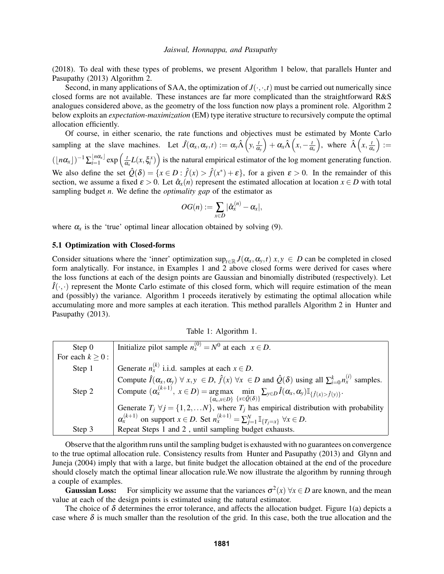(2018). To deal with these types of problems, we present Algorithm 1 below, that parallels Hunter and Pasupathy (2013) Algorithm 2.

Second, in many applications of SAA, the optimization of  $J(\cdot, \cdot, t)$  must be carried out numerically since closed forms are not available. These instances are far more complicated than the straightforward R&S analogues considered above, as the geometry of the loss function now plays a prominent role. Algorithm 2 below exploits an *expectation-maximization* (EM) type iterative structure to recursively compute the optimal allocation efficiently.

Of course, in either scenario, the rate functions and objectives must be estimated by Monte Carlo sampling at the slave machines. Let  $\hat{J}(\alpha_x, \alpha_y, t) := \alpha_y \hat{\Lambda}\left(y, \frac{t}{\alpha}\right)$ α*y*  $\int + \alpha_x \hat{\Lambda} \left( x, -\frac{t}{\alpha} \right)$ α*x* ), where  $\hat{\Lambda}\left(x,\frac{t}{\alpha}\right)$ α*x*  $):=$  $(\lfloor n\alpha_x \rfloor)^{-1} \sum_{i=1}^{\lfloor n\alpha_x \rfloor}$  $\frac{\lfloor n\alpha_x \rfloor}{i=1}$  exp  $\left(\frac{t}{\alpha}\right)$  $\frac{d}{dx}L(x,\xi_i^x)$  is the natural empirical estimator of the log moment generating function. We also define the set  $\hat{Q}(\delta) = \{x \in D : \hat{f}(x) > \hat{f}(x^*) + \varepsilon\}$ , for a given  $\varepsilon > 0$ . In the remainder of this section, we assume a fixed  $\varepsilon > 0$ . Let  $\hat{\alpha}_x(n)$  represent the estimated allocation at location  $x \in D$  with total sampling budget *n*. We define the *optimality gap* of the estimator as

$$
OG(n):=\sum_{x\in D}|\hat{\alpha}_x^{(n)}-\alpha_x|,
$$

where  $\alpha_x$  is the 'true' optimal linear allocation obtained by solving (9).

### 5.1 Optimization with Closed-forms

Consider situations where the 'inner' optimization  $\sup_{t\in\mathbb{R}} J(\alpha_x, \alpha_y, t)$  *x*, *y* ∈ *D* can be completed in closed form analytically. For instance, in Examples 1 and 2 above closed forms were derived for cases where the loss functions at each of the design points are Gaussian and binomially distributed (respectively). Let  $\hat{I}(\cdot,\cdot)$  represent the Monte Carlo estimate of this closed form, which will require estimation of the mean and (possibly) the variance. Algorithm 1 proceeds iteratively by estimating the optimal allocation while accumulating more and more samples at each iteration. This method parallels Algorithm 2 in Hunter and Pasupathy (2013).

| Table 1: Algorithm 1. |  |  |
|-----------------------|--|--|
|-----------------------|--|--|

| Step $0$              | Initialize pilot sample $n_x^{(0)} = N^0$ at each $x \in D$ .                                                                                                                                                       |
|-----------------------|---------------------------------------------------------------------------------------------------------------------------------------------------------------------------------------------------------------------|
| For each $k \geq 0$ : |                                                                                                                                                                                                                     |
| Step 1                | Generate $n_x^{(k)}$ i.i.d. samples at each $x \in D$ .                                                                                                                                                             |
|                       | Compute $\hat{I}(\alpha_x, \alpha_y) \forall x, y \in D$ , $\hat{f}(x) \forall x \in D$ and $\hat{Q}(\delta)$ using all $\sum_{i=0}^{k} n_x^{(i)}$ samples.                                                         |
| Step 2                | Compute $(\alpha_x^{(k+1)}, x \in D) = \underset{\{\alpha_x, x \in D\}}{\arg \max} \min_{\{x \in \hat{\mathcal{Q}}(\delta)\}} \sum_{y \in D} \hat{I}(\alpha_x, \alpha_y) \mathbb{I}_{\{\hat{f}(x) > \hat{f}(y)\}}.$ |
|                       | Generate $T_j \ \forall j = \{1, 2, \dots N\}$ , where $T_j$ has empirical distribution with probability                                                                                                            |
|                       | $\alpha_x^{(k+1)}$ on support $x \in D$ . Set $n_x^{(k+1)} = \sum_{i=1}^N \mathbb{I}_{\{T_i = x\}} \ \forall x \in D$ .                                                                                             |
| Step 3                | Repeat Steps 1 and 2, until sampling budget exhausts.                                                                                                                                                               |

Observe that the algorithm runs until the sampling budget is exhausted with no guarantees on convergence to the true optimal allocation rule. Consistency results from Hunter and Pasupathy (2013) and Glynn and Juneja (2004) imply that with a large, but finite budget the allocation obtained at the end of the procedure should closely match the optimal linear allocation rule.We now illustrate the algorithm by running through a couple of examples.

**Gaussian Loss:** For simplicity we assume that the variances  $\sigma^2(x)$   $\forall x \in D$  are known, and the mean value at each of the design points is estimated using the natural estimator.

The choice of  $\delta$  determines the error tolerance, and affects the allocation budget. Figure 1(a) depicts a case where  $\delta$  is much smaller than the resolution of the grid. In this case, both the true allocation and the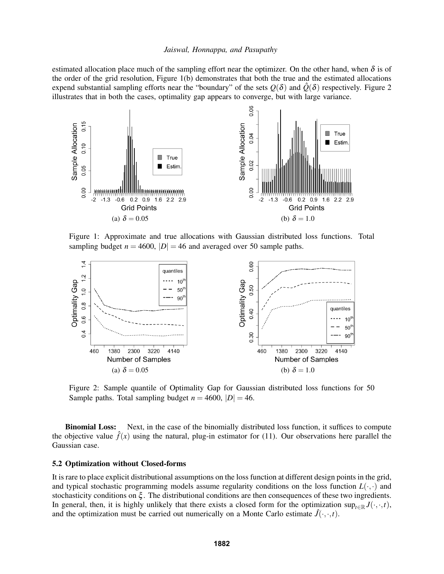estimated allocation place much of the sampling effort near the optimizer. On the other hand, when  $\delta$  is of the order of the grid resolution, Figure 1(b) demonstrates that both the true and the estimated allocations expend substantial sampling efforts near the "boundary" of the sets  $Q(\delta)$  and  $\hat{Q}(\delta)$  respectively. Figure 2 illustrates that in both the cases, optimality gap appears to converge, but with large variance.



Figure 1: Approximate and true allocations with Gaussian distributed loss functions. Total sampling budget  $n = 4600$ ,  $|D| = 46$  and averaged over 50 sample paths.



Figure 2: Sample quantile of Optimality Gap for Gaussian distributed loss functions for 50 Sample paths. Total sampling budget  $n = 4600$ ,  $|D| = 46$ .

Binomial Loss: Next, in the case of the binomially distributed loss function, it suffices to compute the objective value  $\hat{f}(x)$  using the natural, plug-in estimator for (11). Our observations here parallel the Gaussian case.

### 5.2 Optimization without Closed-forms

It is rare to place explicit distributional assumptions on the loss function at different design points in the grid, and typical stochastic programming models assume regularity conditions on the loss function  $L(\cdot, \cdot)$  and stochasticity conditions on  $\xi$ . The distributional conditions are then consequences of these two ingredients. In general, then, it is highly unlikely that there exists a closed form for the optimization sup<sub>t∈R</sub>  $J(\cdot, \cdot, t)$ , and the optimization must be carried out numerically on a Monte Carlo estimate  $\hat{J}(\cdot,\cdot,t)$ .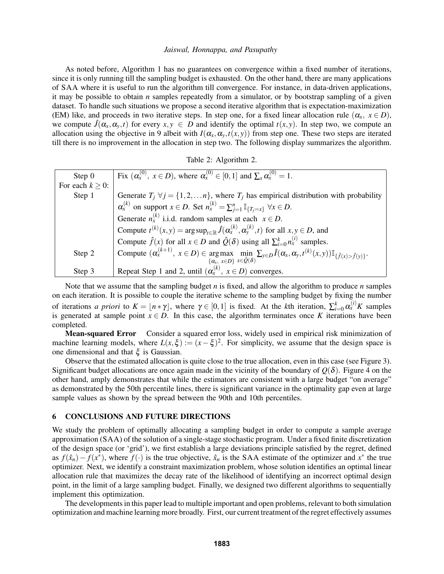As noted before, Algorithm 1 has no guarantees on convergence within a fixed number of iterations, since it is only running till the sampling budget is exhausted. On the other hand, there are many applications of SAA where it is useful to run the algorithm till convergence. For instance, in data-driven applications, it may be possible to obtain *n* samples repeatedly from a simulator, or by bootstrap sampling of a given dataset. To handle such situations we propose a second iterative algorithm that is expectation-maximization (EM) like, and proceeds in two iterative steps. In step one, for a fixed linear allocation rule  $(\alpha_x, x \in D)$ , we compute  $\hat{J}(\alpha_x, \alpha_y, t)$  for every  $x, y \in D$  and identify the optimal  $t(x, y)$ . In step two, we compute an allocation using the objective in 9 albeit with  $I(\alpha_x, \alpha_y, t(x, y))$  from step one. These two steps are iterated till there is no improvement in the allocation in step two. The following display summarizes the algorithm.

|  |  | Table 2: Algorithm 2. |  |
|--|--|-----------------------|--|
|--|--|-----------------------|--|

| Step $0$              | Fix $(\alpha_x^{(0)}, x \in D)$ , where $\alpha_x^{(0)} \in [0,1]$ and $\sum_{x} \alpha_x^{(0)} = 1$ .                                                                                                                           |
|-----------------------|----------------------------------------------------------------------------------------------------------------------------------------------------------------------------------------------------------------------------------|
| For each $k \geq 0$ : |                                                                                                                                                                                                                                  |
| Step 1                | Generate $T_i \forall j = \{1, 2, , n\}$ , where $T_i$ has empirical distribution with probability                                                                                                                               |
|                       | $\alpha_x^{(k)}$ on support $x \in D$ . Set $n_x^{(k)} = \sum_{i=1}^n \mathbb{I}_{\{T_i = x\}} \ \forall x \in D$ .                                                                                                              |
|                       | Generate $n_x^{(k)}$ i.i.d. random samples at each $x \in D$ .                                                                                                                                                                   |
|                       | Compute $t^{(k)}(x, y) = \arg \sup_{t \in \mathbb{R}} \hat{J}(\alpha_x^{(k)}, \alpha_y^{(k)}, t)$ for all $x, y \in D$ , and                                                                                                     |
|                       | Compute $\hat{f}(x)$ for all $x \in D$ and $\hat{Q}(\delta)$ using all $\sum_{i=0}^{k} n_x^{(i)}$ samples.                                                                                                                       |
| Step 2                | Compute $(\alpha_x^{(k+1)}, x \in D) \in \underset{\{\alpha_x, x \in D\}}{\arg \max} \underset{x \in \hat{Q}(\delta)}{\min} \sum_{y \in D} \hat{I}(\alpha_x, \alpha_y, t^{(k)}(x, y)) \mathbb{I}_{\{\hat{f}(x) > \hat{f}(y)\}}.$ |
|                       |                                                                                                                                                                                                                                  |
| Step 3                | Repeat Step 1 and 2, until $(\alpha_x^{(k)}, x \in D)$ converges.                                                                                                                                                                |

Note that we assume that the sampling budget *n* is fixed, and allow the algorithm to produce *n* samples on each iteration. It is possible to couple the iterative scheme to the sampling budget by fixing the number of iterations *a priori* to  $K = \lfloor n * \gamma \rfloor$ , where  $\gamma \in [0,1]$  is fixed. At the *k*th iteration,  $\sum_{i=0}^{k} \alpha_{x}^{(i)} K$  samples is generated at sample point  $x \in D$ . In this case, the algorithm terminates once *K* iterations have been completed.

Mean-squared Error Consider a squared error loss, widely used in empirical risk minimization of machine learning models, where  $L(x,\xi) := (x - \xi)^2$ . For simplicity, we assume that the design space is one dimensional and that  $\xi$  is Gaussian.

Observe that the estimated allocation is quite close to the true allocation, even in this case (see Figure 3). Significant budget allocations are once again made in the vicinity of the boundary of  $Q(\delta)$ . Figure 4 on the other hand, amply demonstrates that while the estimators are consistent with a large budget "on average" as demonstrated by the 50th percentile lines, there is significant variance in the optimality gap even at large sample values as shown by the spread between the 90th and 10th percentiles.

# 6 CONCLUSIONS AND FUTURE DIRECTIONS

We study the problem of optimally allocating a sampling budget in order to compute a sample average approximation (SAA) of the solution of a single-stage stochastic program. Under a fixed finite discretization of the design space (or 'grid'), we first establish a large deviations principle satisfied by the regret, defined as  $f(\hat{x}_n) - f(x^*)$ , where  $f(\cdot)$  is the true objective,  $\hat{x}_n$  is the SAA estimate of the optimizer and  $x^*$  the true optimizer. Next, we identify a constraint maximization problem, whose solution identifies an optimal linear allocation rule that maximizes the decay rate of the likelihood of identifying an incorrect optimal design point, in the limit of a large sampling budget. Finally, we designed two different algorithms to sequentially implement this optimization.

The developments in this paper lead to multiple important and open problems, relevant to both simulation optimization and machine learning more broadly. First, our current treatment of the regret effectively assumes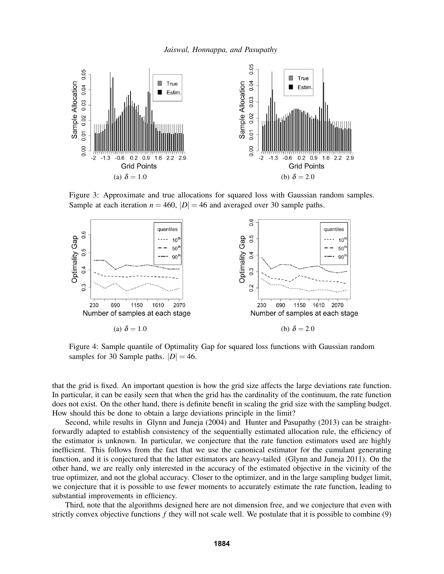

Figure 3: Approximate and true allocations for squared loss with Gaussian random samples. Sample at each iteration  $n = 460$ ,  $|D| = 46$  and averaged over 30 sample paths.



Figure 4: Sample quantile of Optimality Gap for squared loss functions with Gaussian random samples for 30 Sample paths.  $|D| = 46$ .

that the grid is fixed. An important question is how the grid size affects the large deviations rate function. In particular, it can be easily seen that when the grid has the cardinality of the continuum, the rate function does not exist. On the other hand, there is definite benefit in scaling the grid size with the sampling budget. How should this be done to obtain a large deviations principle in the limit?

Second, while results in Glynn and Juneja (2004) and Hunter and Pasupathy (2013) can be straightforwardly adapted to establish consistency of the sequentially estimated allocation rule, the efficiency of the estimator is unknown. In particular, we conjecture that the rate function estimators used are highly inefficient. This follows from the fact that we use the canonical estimator for the cumulant generating function, and it is conjectured that the latter estimators are heavy-tailed (Glynn and Juneja 2011). On the other hand, we are really only interested in the accuracy of the estimated objective in the vicinity of the true optimizer, and not the global accuracy. Closer to the optimizer, and in the large sampling budget limit, we conjecture that it is possible to use fewer moments to accurately estimate the rate function, leading to substantial improvements in efficiency.

Third, note that the algorithms designed here are not dimension free, and we conjecture that even with strictly convex objective functions *f* they will not scale well. We postulate that it is possible to combine (9)